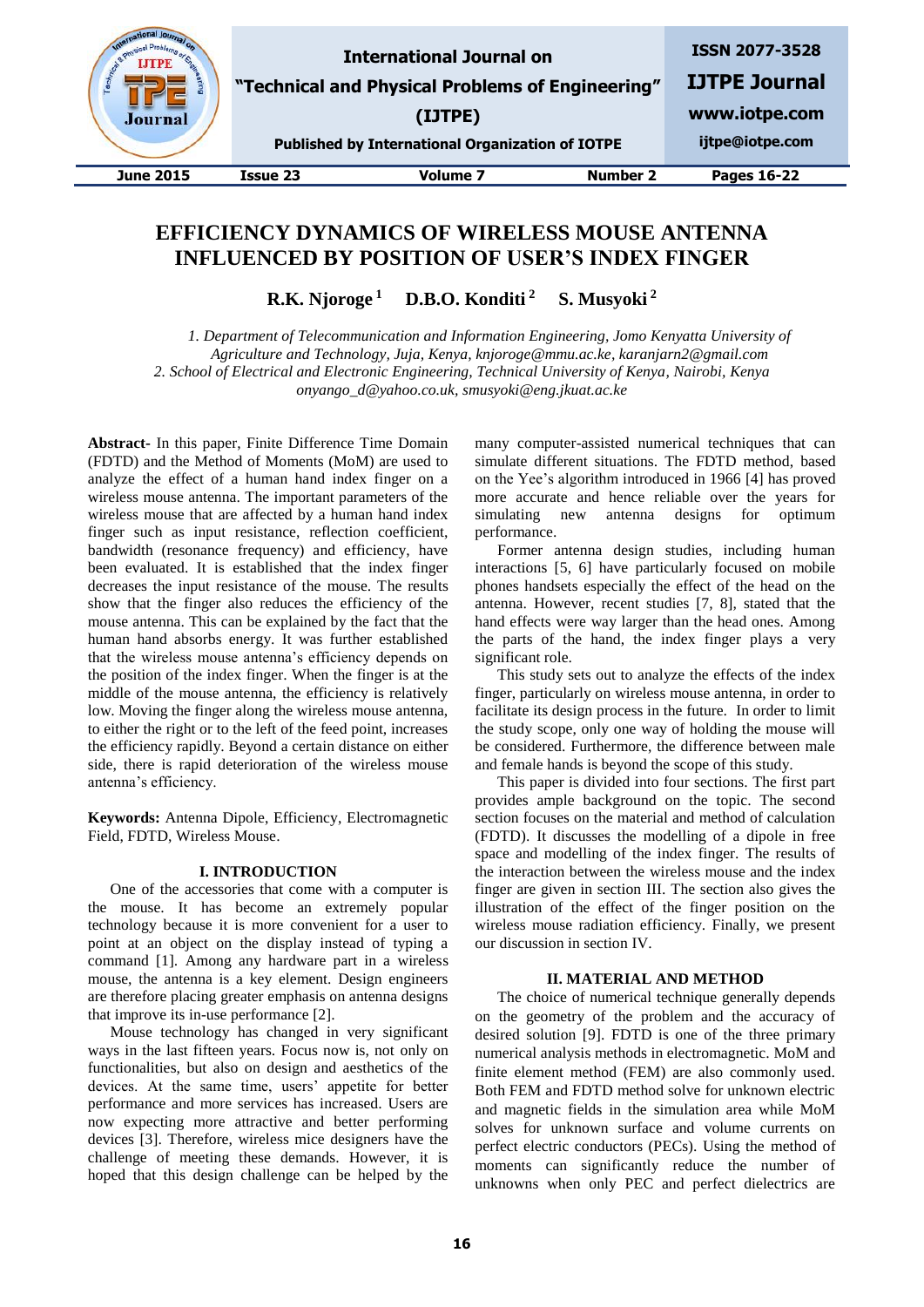| Journal          |                 | <b>International Journal on</b><br>"Technical and Physical Problems of Engineering"<br>(IJTPE)<br><b>Published by International Organization of IOTPE</b> |                 | <b>ISSN 2077-3528</b><br><b>IJTPE Journal</b><br>www.iotpe.com<br>ijtpe@iotpe.com |
|------------------|-----------------|-----------------------------------------------------------------------------------------------------------------------------------------------------------|-----------------|-----------------------------------------------------------------------------------|
| <b>June 2015</b> | <b>Issue 23</b> | <b>Volume 7</b>                                                                                                                                           | <b>Number 2</b> | Pages 16-22                                                                       |

# **EFFICIENCY DYNAMICS OF WIRELESS MOUSE ANTENNA INFLUENCED BY POSITION OF USER'S INDEX FINGER**

**R.K. Njoroge <sup>1</sup> D.B.O. Konditi <sup>2</sup> S. Musyoki <sup>2</sup>**

*1. Department of Telecommunication and Information Engineering, Jomo Kenyatta University of Agriculture and Technology, Juja, Kenya, knjoroge@mmu.ac.ke, karanjarn2@gmail.com 2. School of Electrical and Electronic Engineering, Technical University of Kenya, Nairobi, Kenya onyango\_d@yahoo.co.uk, smusyoki@eng.jkuat.ac.ke*

**Abstract-** In this paper, Finite Difference Time Domain (FDTD) and the Method of Moments (MoM) are used to analyze the effect of a human hand index finger on a wireless mouse antenna. The important parameters of the wireless mouse that are affected by a human hand index finger such as input resistance, reflection coefficient, bandwidth (resonance frequency) and efficiency, have been evaluated. It is established that the index finger decreases the input resistance of the mouse. The results show that the finger also reduces the efficiency of the mouse antenna. This can be explained by the fact that the human hand absorbs energy. It was further established that the wireless mouse antenna's efficiency depends on the position of the index finger. When the finger is at the middle of the mouse antenna, the efficiency is relatively low. Moving the finger along the wireless mouse antenna, to either the right or to the left of the feed point, increases the efficiency rapidly. Beyond a certain distance on either side, there is rapid deterioration of the wireless mouse antenna's efficiency.

**Keywords:** Antenna Dipole, Efficiency, Electromagnetic Field, FDTD, Wireless Mouse.

### **I. INTRODUCTION**

One of the accessories that come with a computer is the mouse. It has become an extremely popular technology because it is more convenient for a user to point at an object on the display instead of typing a command [1]. Among any hardware part in a wireless mouse, the antenna is a key element. Design engineers are therefore placing greater emphasis on antenna designs that improve its in-use performance [2].

Mouse technology has changed in very significant ways in the last fifteen years. Focus now is, not only on functionalities, but also on design and aesthetics of the devices. At the same time, users' appetite for better performance and more services has increased. Users are now expecting more attractive and better performing devices [3]. Therefore, wireless mice designers have the challenge of meeting these demands. However, it is hoped that this design challenge can be helped by the

many computer-assisted numerical techniques that can simulate different situations. The FDTD method, based on the Yee's algorithm introduced in 1966 [4] has proved more accurate and hence reliable over the years for simulating new antenna designs for optimum performance.

Former antenna design studies, including human interactions [5, 6] have particularly focused on mobile phones handsets especially the effect of the head on the antenna. However, recent studies [7, 8], stated that the hand effects were way larger than the head ones. Among the parts of the hand, the index finger plays a very significant role.

This study sets out to analyze the effects of the index finger, particularly on wireless mouse antenna, in order to facilitate its design process in the future. In order to limit the study scope, only one way of holding the mouse will be considered. Furthermore, the difference between male and female hands is beyond the scope of this study.

This paper is divided into four sections. The first part provides ample background on the topic. The second section focuses on the material and method of calculation (FDTD). It discusses the modelling of a dipole in free space and modelling of the index finger. The results of the interaction between the wireless mouse and the index finger are given in section III. The section also gives the illustration of the effect of the finger position on the wireless mouse radiation efficiency. Finally, we present our discussion in section IV.

### **II. MATERIAL AND METHOD**

The choice of numerical technique generally depends on the geometry of the problem and the accuracy of desired solution [9]. FDTD is one of the three primary numerical analysis methods in electromagnetic. MoM and finite element method (FEM) are also commonly used. Both FEM and FDTD method solve for unknown electric and magnetic fields in the simulation area while MoM solves for unknown surface and volume currents on perfect electric conductors (PECs). Using the method of moments can significantly reduce the number of unknowns when only PEC and perfect dielectrics are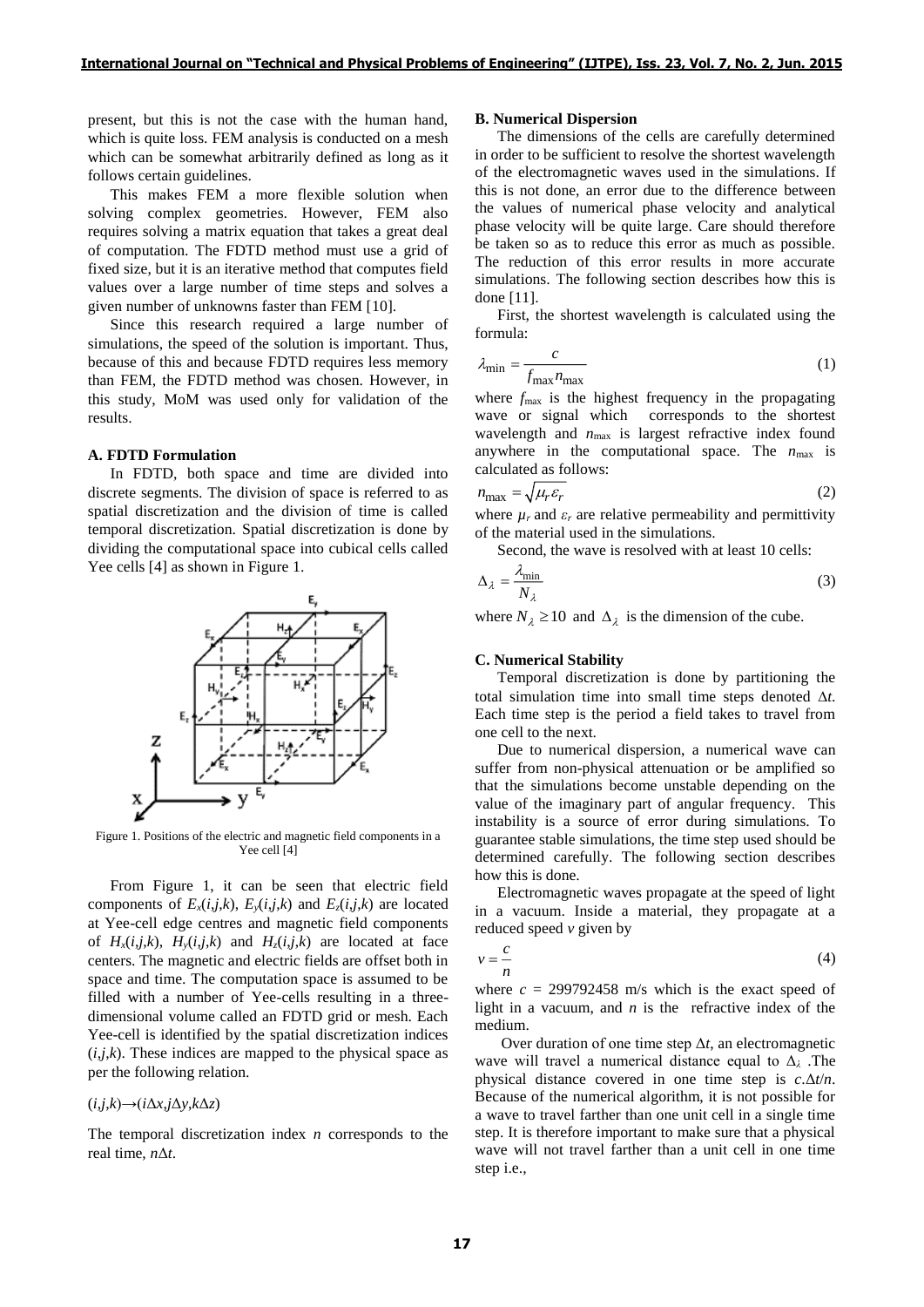present, but this is not the case with the human hand, which is quite loss. FEM analysis is conducted on a mesh which can be somewhat arbitrarily defined as long as it follows certain guidelines.

This makes FEM a more flexible solution when solving complex geometries. However, FEM also requires solving a matrix equation that takes a great deal of computation. The FDTD method must use a grid of fixed size, but it is an iterative method that computes field values over a large number of time steps and solves a given number of unknowns faster than FEM [10].

Since this research required a large number of simulations, the speed of the solution is important. Thus, because of this and because FDTD requires less memory than FEM, the FDTD method was chosen. However, in this study, MoM was used only for validation of the results.

### **A. FDTD Formulation**

In FDTD, both space and time are divided into discrete segments. The division of space is referred to as spatial discretization and the division of time is called temporal discretization. Spatial discretization is done by dividing the computational space into cubical cells called Yee cells [4] as shown in Figure 1.



Figure 1. Positions of the electric and magnetic field components in a Yee cell [4]

From Figure 1, it can be seen that electric field components of  $E_x(i,j,k)$ ,  $E_y(i,j,k)$  and  $E_z(i,j,k)$  are located at Yee-cell edge centres and magnetic field components of  $H_x(i,j,k)$ ,  $H_y(i,j,k)$  and  $H_z(i,j,k)$  are located at face centers. The magnetic and electric fields are offset both in space and time. The computation space is assumed to be filled with a number of Yee-cells resulting in a threedimensional volume called an FDTD grid or mesh. Each Yee-cell is identified by the spatial discretization indices  $(i,j,k)$ . These indices are mapped to the physical space as per the following relation.

### $(i,j,k) \rightarrow (i\Delta x, j\Delta y, k\Delta z)$

The temporal discretization index *n* corresponds to the real time, *n*Δ*t*.

#### **B. Numerical Dispersion**

The dimensions of the cells are carefully determined in order to be sufficient to resolve the shortest wavelength of the electromagnetic waves used in the simulations. If this is not done, an error due to the difference between the values of numerical phase velocity and analytical phase velocity will be quite large. Care should therefore be taken so as to reduce this error as much as possible. The reduction of this error results in more accurate simulations. The following section describes how this is done [11].

First, the shortest wavelength is calculated using the formula:

$$
\lambda_{\min} = \frac{c}{f_{\max} n_{\max}} \tag{1}
$$

where  $f_{\text{max}}$  is the highest frequency in the propagating wave or signal which corresponds to the shortest wavelength and  $n_{\text{max}}$  is largest refractive index found anywhere in the computational space. The  $n_{\text{max}}$  is calculated as follows:

$$
n_{\text{max}} = \sqrt{\mu_r \varepsilon_r} \tag{2}
$$

where  $\mu_r$  and  $\varepsilon_r$  are relative permeability and permittivity of the material used in the simulations.

Second, the wave is resolved with at least 10 cells:

$$
\Delta_{\lambda} = \frac{\lambda_{\text{min}}}{N_{\lambda}} \tag{3}
$$

where  $N_{\lambda} \ge 10$  and  $\Delta_{\lambda}$  is the dimension of the cube.

#### **C. Numerical Stability**

Temporal discretization is done by partitioning the total simulation time into small time steps denoted  $\Delta t$ . Each time step is the period a field takes to travel from one cell to the next.

Due to numerical dispersion, a numerical wave can suffer from non-physical attenuation or be amplified so that the simulations become unstable depending on the value of the imaginary part of angular frequency. This instability is a source of error during simulations. To guarantee stable simulations, the time step used should be determined carefully. The following section describes how this is done.

Electromagnetic waves propagate at the speed of light in a vacuum. Inside a material, they propagate at a reduced speed *v* given by

$$
v = -\frac{c}{n} \tag{4}
$$

where  $c = 299792458$  m/s which is the exact speed of light in a vacuum, and *n* is the refractive index of the medium.

Over duration of one time step Δ*t*, an electromagnetic wave will travel a numerical distance equal to Δ*<sup>λ</sup>* .The physical distance covered in one time step is *c*.Δ*t*/*n*. Because of the numerical algorithm, it is not possible for a wave to travel farther than one unit cell in a single time step. It is therefore important to make sure that a physical wave will not travel farther than a unit cell in one time step i.e.,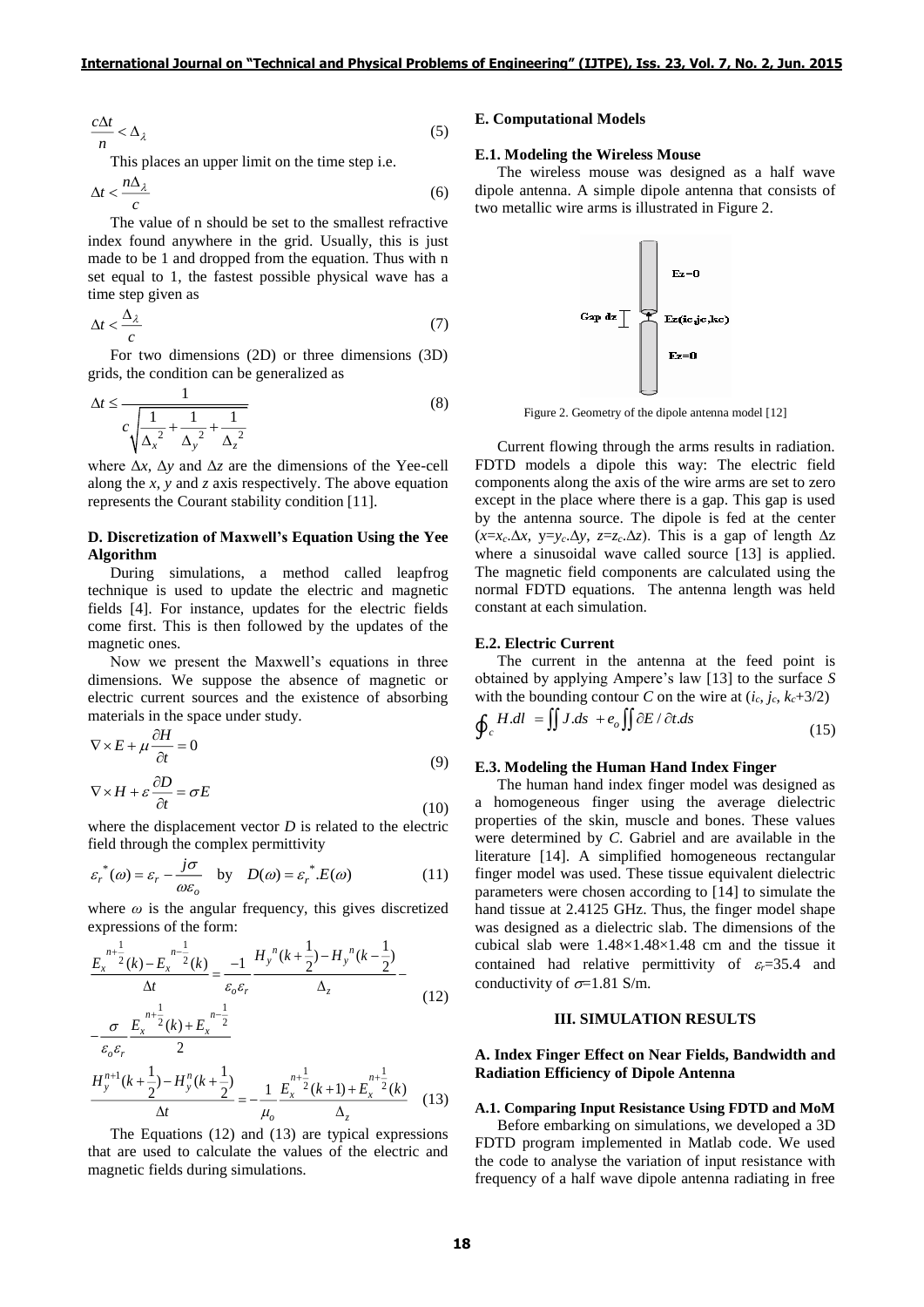$$
\frac{c\Delta t}{n} < \Delta_{\lambda} \tag{5}
$$

This places an upper limit on the time step i.e.

$$
\Delta t < \frac{n\Delta_{\lambda}}{c} \tag{6}
$$

The value of n should be set to the smallest refractive index found anywhere in the grid. Usually, this is just made to be 1 and dropped from the equation. Thus with n set equal to 1, the fastest possible physical wave has a time step given as

$$
\Delta t < \frac{\Delta_{\lambda}}{c} \tag{7}
$$

For two dimensions (2D) or three dimensions (3D) grids, the condition can be generalized as

$$
\Delta t \le \frac{1}{c \sqrt{\frac{1}{\Delta_x^2} + \frac{1}{\Delta_y^2} + \frac{1}{\Delta_z^2}}}
$$
(8)

where  $\Delta x$ ,  $\Delta y$  and  $\Delta z$  are the dimensions of the Yee-cell along the *x*, *y* and *z* axis respectively. The above equation represents the Courant stability condition [11].

# **D. Discretization of Maxwell's Equation Using the Yee Algorithm**

During simulations, a method called leapfrog technique is used to update the electric and magnetic fields [4]. For instance, updates for the electric fields come first. This is then followed by the updates of the magnetic ones.

Now we present the Maxwell's equations in three dimensions. We suppose the absence of magnetic or electric current sources and the existence of absorbing materials in the space under study.

$$
\nabla \times E + \mu \frac{\partial H}{\partial t} = 0
$$
\n
$$
\nabla \times H + \varepsilon \frac{\partial D}{\partial t} = \sigma E
$$
\n(9)

(10) where the displacement vector *D* is related to the electric field through the complex permittivity

$$
\varepsilon_r^*(\omega) = \varepsilon_r - \frac{j\sigma}{\omega\varepsilon_o} \quad \text{by} \quad D(\omega) = \varepsilon_r^* . E(\omega) \tag{11}
$$

where  $\omega$  is the angular frequency, this gives discretized expressions of the form:

$$
\frac{E_x^{n+\frac{1}{2}}(k) - E_x^{n-\frac{1}{2}}(k)}{\Delta t} = \frac{-1}{\varepsilon_o \varepsilon_r} \frac{H_y^{n}(k + \frac{1}{2}) - H_y^{n}(k - \frac{1}{2})}{\Delta_z}
$$
  
\n
$$
\sigma E_x^{n+\frac{1}{2}}(k) + E_x^{n-\frac{1}{2}}
$$
\n(12)

$$
\frac{\varepsilon_o \varepsilon_r}{H_y^{n+1}(k + \frac{1}{2}) - H_y^n(k + \frac{1}{2})} = -\frac{1}{\mu_o} \frac{E_x^{n+\frac{1}{2}}(k+1) + E_x^{n+\frac{1}{2}}(k)}{\Delta_z}
$$
(13)

 $\mathcal{L}$ 

The Equations (12) and (13) are typical expressions that are used to calculate the values of the electric and magnetic fields during simulations.

### **E. Computational Models**

#### **E.1. Modeling the Wireless Mouse**

The wireless mouse was designed as a half wave dipole antenna. A simple dipole antenna that consists of two metallic wire arms is illustrated in Figure 2.



Figure 2. Geometry of the dipole antenna model [12]

Current flowing through the arms results in radiation. FDTD models a dipole this way: The electric field components along the axis of the wire arms are set to zero except in the place where there is a gap. This gap is used by the antenna source. The dipole is fed at the center (*x*=*xc*.∆*x*, y=*yc*.∆*y*, *z*=*zc*.∆*z*). This is a gap of length ∆z where a sinusoidal wave called source [13] is applied. The magnetic field components are calculated using the normal FDTD equations. The antenna length was held constant at each simulation.

#### **E.2. Electric Current**

The current in the antenna at the feed point is obtained by applying Ampere's law [13] to the surface *S* with the bounding contour *C* on the wire at  $(i_c, j_c, k_c+3/2)$ 

$$
\oint_c H dl = \iint J ds + e_o \iint \partial E / \partial t ds
$$
\n(15)

#### **E.3. Modeling the Human Hand Index Finger**

The human hand index finger model was designed as a homogeneous finger using the average dielectric properties of the skin, muscle and bones. These values were determined by *C*. Gabriel and are available in the literature [14]. A simplified homogeneous rectangular finger model was used. These tissue equivalent dielectric parameters were chosen according to [14] to simulate the hand tissue at 2.4125 GHz. Thus, the finger model shape was designed as a dielectric slab. The dimensions of the cubical slab were  $1.48\times1.48\times1.48$  cm and the tissue it contained had relative permittivity of  $\varepsilon = 35.4$  and conductivity of  $\sigma$ =1.81 S/m.

#### **III. SIMULATION RESULTS**

### **A. Index Finger Effect on Near Fields, Bandwidth and Radiation Efficiency of Dipole Antenna**

#### **A.1. Comparing Input Resistance Using FDTD and MoM**

Before embarking on simulations, we developed a 3D FDTD program implemented in Matlab code. We used the code to analyse the variation of input resistance with frequency of a half wave dipole antenna radiating in free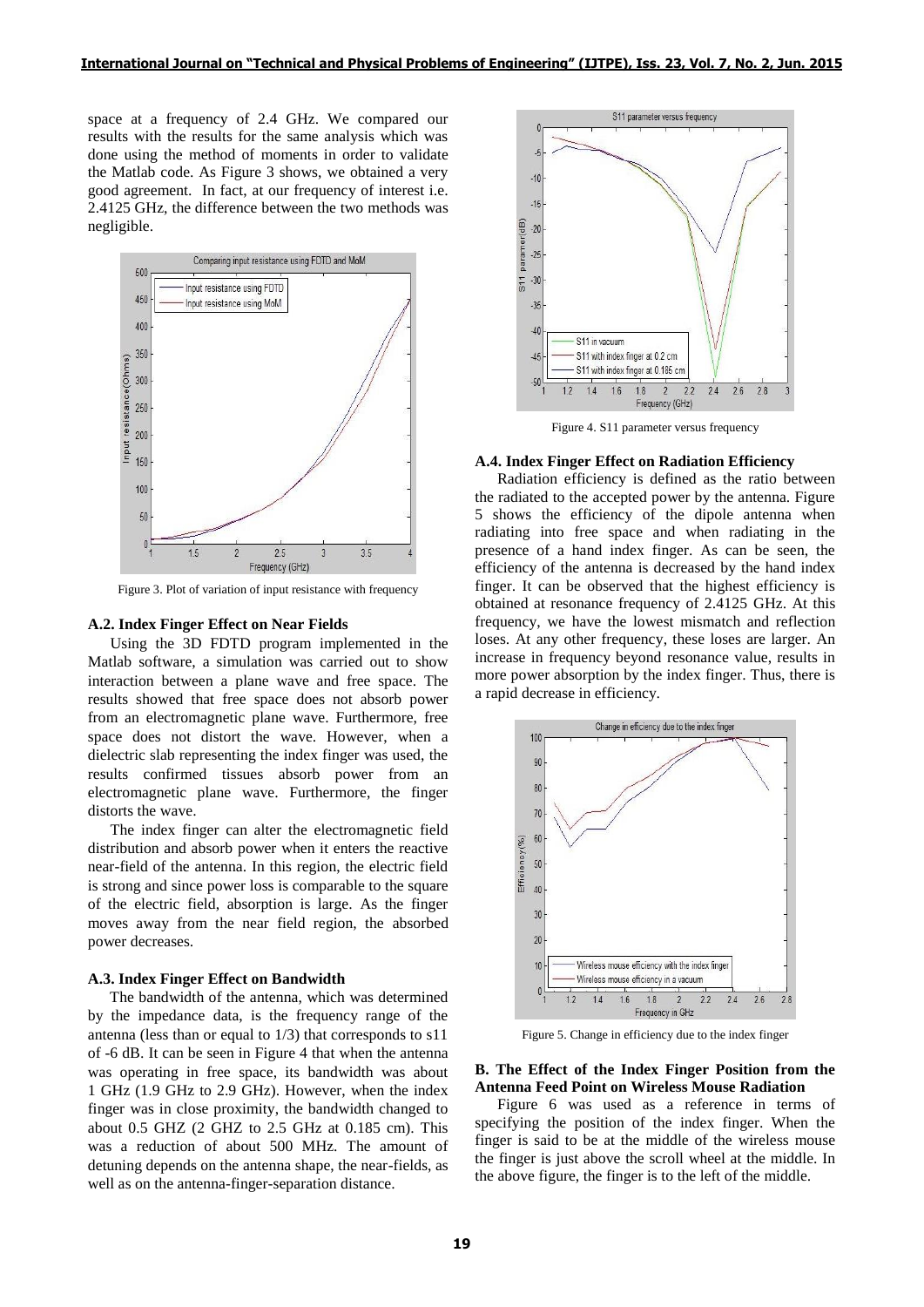space at a frequency of 2.4 GHz. We compared our results with the results for the same analysis which was done using the method of moments in order to validate the Matlab code. As Figure 3 shows, we obtained a very good agreement. In fact, at our frequency of interest i.e. 2.4125 GHz, the difference between the two methods was negligible.



Figure 3. Plot of variation of input resistance with frequency

#### **A.2. Index Finger Effect on Near Fields**

Using the 3D FDTD program implemented in the Matlab software, a simulation was carried out to show interaction between a plane wave and free space. The results showed that free space does not absorb power from an electromagnetic plane wave. Furthermore, free space does not distort the wave. However, when a dielectric slab representing the index finger was used, the results confirmed tissues absorb power from an electromagnetic plane wave. Furthermore, the finger distorts the wave.

The index finger can alter the electromagnetic field distribution and absorb power when it enters the reactive near-field of the antenna. In this region, the electric field is strong and since power loss is comparable to the square of the electric field, absorption is large. As the finger moves away from the near field region, the absorbed power decreases.

#### **A.3. Index Finger Effect on Bandwidth**

The bandwidth of the antenna, which was determined by the impedance data, is the frequency range of the antenna (less than or equal to 1/3) that corresponds to s11 of -6 dB. It can be seen in Figure 4 that when the antenna was operating in free space, its bandwidth was about 1 GHz (1.9 GHz to 2.9 GHz). However, when the index finger was in close proximity, the bandwidth changed to about 0.5 GHZ (2 GHZ to 2.5 GHz at 0.185 cm). This was a reduction of about 500 MHz. The amount of detuning depends on the antenna shape, the near-fields, as well as on the antenna-finger-separation distance.



Figure 4. S11 parameter versus frequency

#### **A.4. Index Finger Effect on Radiation Efficiency**

Radiation efficiency is defined as the ratio between the radiated to the accepted power by the antenna. Figure 5 shows the efficiency of the dipole antenna when radiating into free space and when radiating in the presence of a hand index finger. As can be seen, the efficiency of the antenna is decreased by the hand index finger. It can be observed that the highest efficiency is obtained at resonance frequency of 2.4125 GHz. At this frequency, we have the lowest mismatch and reflection loses. At any other frequency, these loses are larger. An increase in frequency beyond resonance value, results in more power absorption by the index finger. Thus, there is a rapid decrease in efficiency.



Figure 5. Change in efficiency due to the index finger

### **B. The Effect of the Index Finger Position from the Antenna Feed Point on Wireless Mouse Radiation**

Figure 6 was used as a reference in terms of specifying the position of the index finger. When the finger is said to be at the middle of the wireless mouse the finger is just above the scroll wheel at the middle. In the above figure, the finger is to the left of the middle.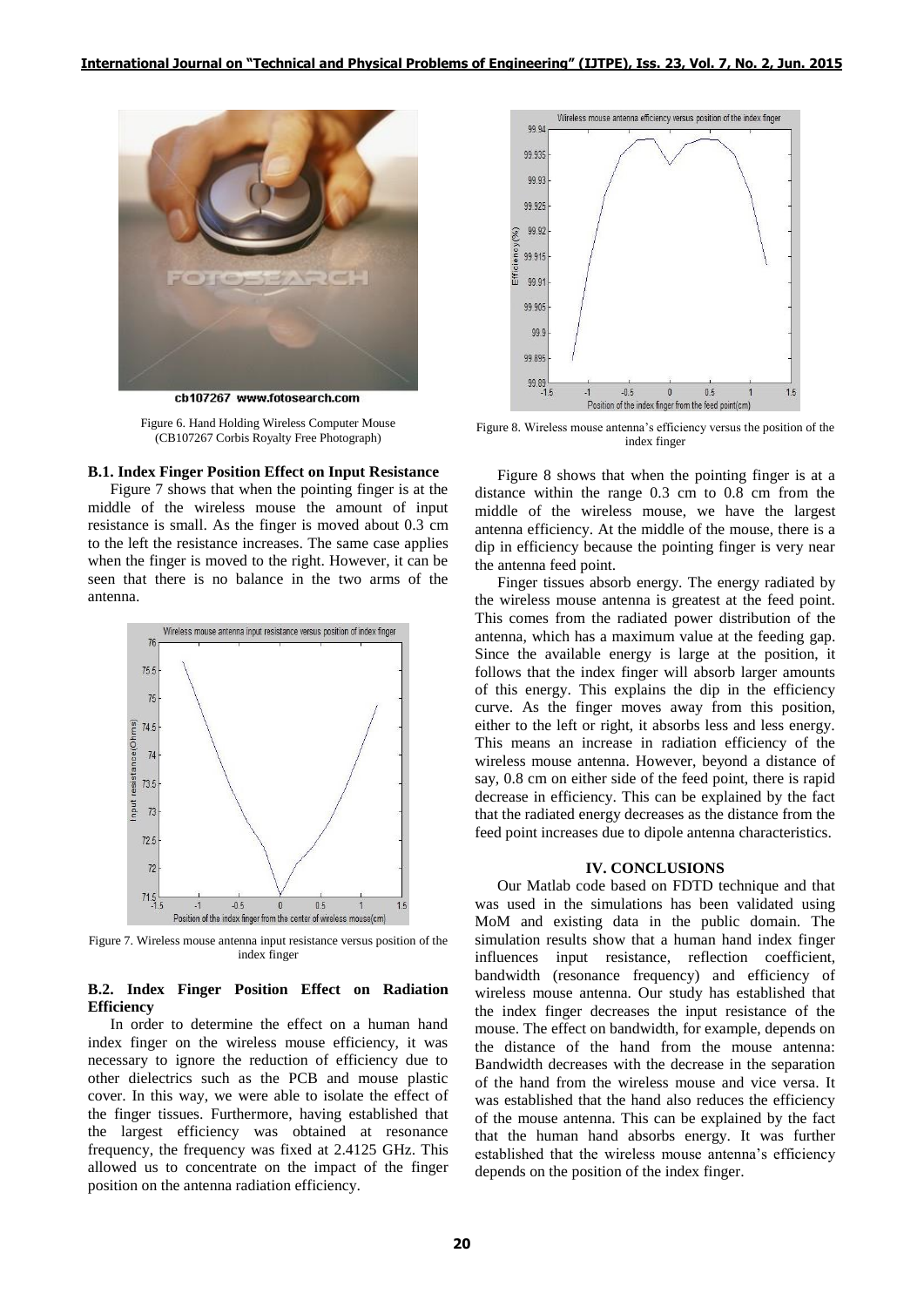

ch107267 www.fotosearch.com

Figure 6. Hand Holding Wireless Computer Mouse (CB107267 Corbis Royalty Free Photograph)

# **B.1. Index Finger Position Effect on Input Resistance**

Figure 7 shows that when the pointing finger is at the middle of the wireless mouse the amount of input resistance is small. As the finger is moved about 0.3 cm to the left the resistance increases. The same case applies when the finger is moved to the right. However, it can be seen that there is no balance in the two arms of the antenna.



Figure 7. Wireless mouse antenna input resistance versus position of the index finger

# **B.2. Index Finger Position Effect on Radiation Efficiency**

In order to determine the effect on a human hand index finger on the wireless mouse efficiency, it was necessary to ignore the reduction of efficiency due to other dielectrics such as the PCB and mouse plastic cover. In this way, we were able to isolate the effect of the finger tissues. Furthermore, having established that the largest efficiency was obtained at resonance frequency, the frequency was fixed at 2.4125 GHz. This allowed us to concentrate on the impact of the finger position on the antenna radiation efficiency.



Figure 8. Wireless mouse antenna's efficiency versus the position of the index finger

Figure 8 shows that when the pointing finger is at a distance within the range 0.3 cm to 0.8 cm from the middle of the wireless mouse, we have the largest antenna efficiency. At the middle of the mouse, there is a dip in efficiency because the pointing finger is very near the antenna feed point.

Finger tissues absorb energy. The energy radiated by the wireless mouse antenna is greatest at the feed point. This comes from the radiated power distribution of the antenna, which has a maximum value at the feeding gap. Since the available energy is large at the position, it follows that the index finger will absorb larger amounts of this energy. This explains the dip in the efficiency curve. As the finger moves away from this position, either to the left or right, it absorbs less and less energy. This means an increase in radiation efficiency of the wireless mouse antenna. However, beyond a distance of say, 0.8 cm on either side of the feed point, there is rapid decrease in efficiency. This can be explained by the fact that the radiated energy decreases as the distance from the feed point increases due to dipole antenna characteristics.

# **IV. CONCLUSIONS**

Our Matlab code based on FDTD technique and that was used in the simulations has been validated using MoM and existing data in the public domain. The simulation results show that a human hand index finger influences input resistance, reflection coefficient, bandwidth (resonance frequency) and efficiency of wireless mouse antenna. Our study has established that the index finger decreases the input resistance of the mouse. The effect on bandwidth, for example, depends on the distance of the hand from the mouse antenna: Bandwidth decreases with the decrease in the separation of the hand from the wireless mouse and vice versa. It was established that the hand also reduces the efficiency of the mouse antenna. This can be explained by the fact that the human hand absorbs energy. It was further established that the wireless mouse antenna's efficiency depends on the position of the index finger.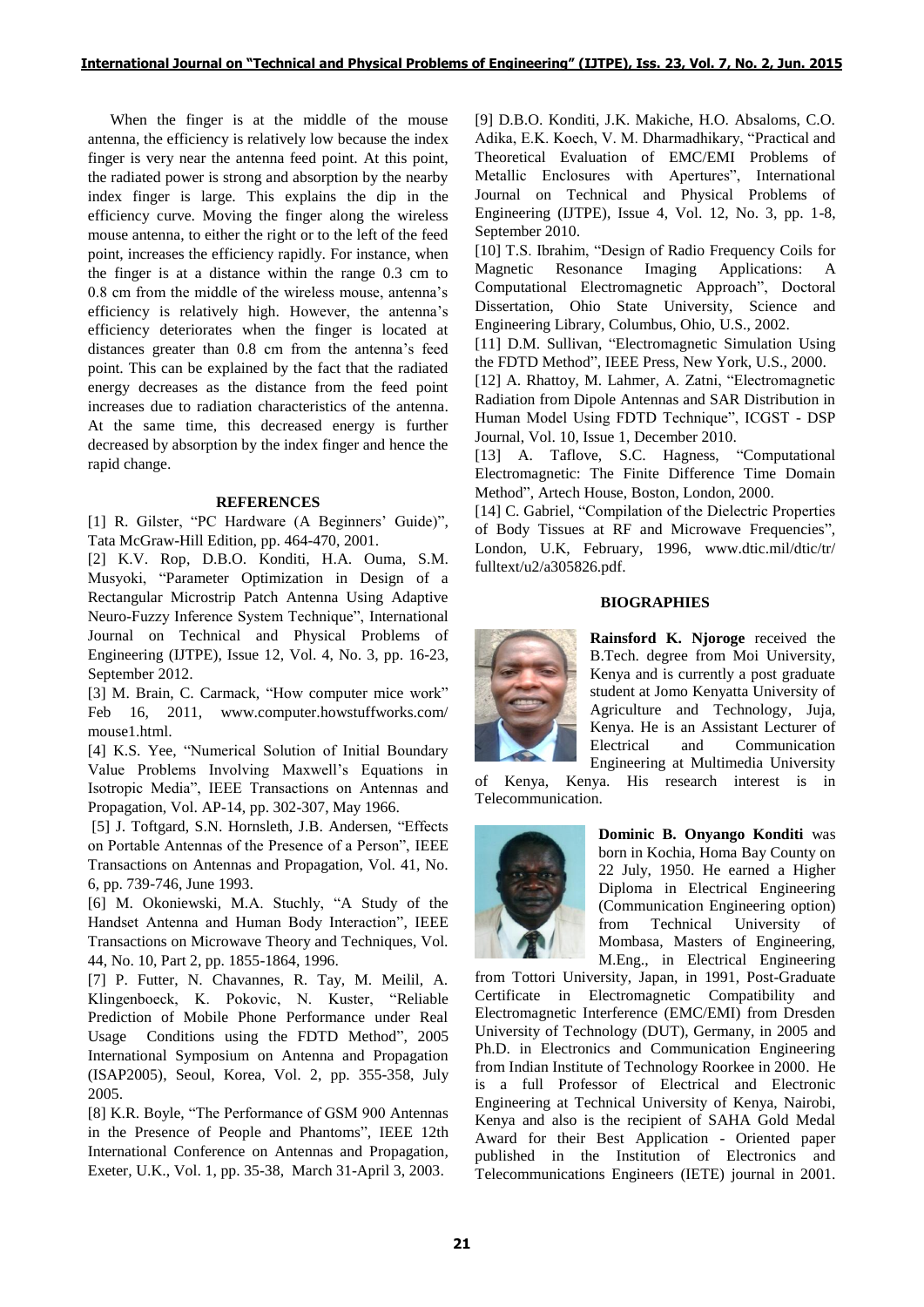When the finger is at the middle of the mouse antenna, the efficiency is relatively low because the index finger is very near the antenna feed point. At this point, the radiated power is strong and absorption by the nearby index finger is large. This explains the dip in the efficiency curve. Moving the finger along the wireless mouse antenna, to either the right or to the left of the feed point, increases the efficiency rapidly. For instance, when the finger is at a distance within the range 0.3 cm to 0.8 cm from the middle of the wireless mouse, antenna's efficiency is relatively high. However, the antenna's efficiency deteriorates when the finger is located at distances greater than 0.8 cm from the antenna's feed point. This can be explained by the fact that the radiated energy decreases as the distance from the feed point increases due to radiation characteristics of the antenna. At the same time, this decreased energy is further decreased by absorption by the index finger and hence the rapid change.

# **REFERENCES**

[1] R. Gilster, "PC Hardware (A Beginners' Guide)", Tata McGraw-Hill Edition, pp. 464-470, 2001.

[2] K.V. Rop, D.B.O. Konditi, H.A. Ouma, S.M. Musyoki, "Parameter Optimization in Design of a Rectangular Microstrip Patch Antenna Using Adaptive Neuro-Fuzzy Inference System Technique", International Journal on Technical and Physical Problems of Engineering (IJTPE), Issue 12, Vol. 4, No. 3, pp. 16-23, September 2012.

[3] M. Brain, C. Carmack, "How computer mice work" Feb 16, 2011, www.computer.howstuffworks.com/ mouse1.html.

[4] K.S. Yee, "Numerical Solution of Initial Boundary Value Problems Involving Maxwell's Equations in Isotropic Media", IEEE Transactions on Antennas and Propagation, Vol. AP-14, pp. 302-307, May 1966.

[5] J. Toftgard, S.N. Hornsleth, J.B. Andersen, "Effects on Portable Antennas of the Presence of a Person", IEEE Transactions on Antennas and Propagation, Vol. 41, No. 6, pp. 739-746, June 1993.

[6] M. Okoniewski, M.A. Stuchly, "A Study of the Handset Antenna and Human Body Interaction", IEEE Transactions on Microwave Theory and Techniques, Vol. 44, No. 10, Part 2, pp. 1855-1864, 1996.

[7] P. Futter, N. Chavannes, R. Tay, M. Meilil, A. Klingenboeck, K. Pokovic, N. Kuster, "Reliable Prediction of Mobile Phone Performance under Real Usage Conditions using the FDTD Method", 2005 International Symposium on Antenna and Propagation (ISAP2005), Seoul, Korea, Vol. 2, pp. 355-358, July 2005.

[8] K.R. Boyle, "The Performance of GSM 900 Antennas in the Presence of People and Phantoms", IEEE 12th International Conference on Antennas and Propagation*,*  Exeter, U.K., Vol. 1, pp. 35-38, March 31-April 3, 2003.

[9] D.B.O. Konditi, J.K. Makiche, H.O. Absaloms, C.O. Adika, E.K. Koech, V. M. Dharmadhikary, "Practical and Theoretical Evaluation of EMC/EMI Problems of Metallic Enclosures with Apertures", International Journal on Technical and Physical Problems of Engineering (IJTPE), Issue 4, Vol. 12, No. 3, pp. 1-8, September 2010.

[10] T.S. Ibrahim, "Design of Radio Frequency Coils for Magnetic Resonance Imaging Applications: A Computational Electromagnetic Approach", Doctoral Dissertation, Ohio State University, Science and Engineering Library, Columbus, Ohio, U.S., 2002.

[11] D.M. Sullivan, "Electromagnetic Simulation Using the FDTD Method", IEEE Press, New York, U.S., 2000.

[12] A. Rhattoy, M. Lahmer, A. Zatni, "Electromagnetic Radiation from Dipole Antennas and SAR Distribution in Human Model Using FDTD Technique", ICGST - DSP Journal, Vol. 10, Issue 1, December 2010.

[13] A. Taflove, S.C. Hagness, "Computational Electromagnetic: The Finite Difference Time Domain Method", Artech House, Boston, London, 2000.

[14] C. Gabriel, "Compilation of the Dielectric Properties of Body Tissues at RF and Microwave Frequencies", London, U.K, February, 1996, www.dtic.mil/dtic/tr/ fulltext/u2/a305826.pdf.

# **BIOGRAPHIES**



**Rainsford K. Njoroge** received the B.Tech. degree from Moi University, Kenya and is currently a post graduate student at Jomo Kenyatta University of Agriculture and Technology, Juja, Kenya. He is an Assistant Lecturer of Electrical and Communication Engineering at Multimedia University

of Kenya, Kenya. His research interest is in Telecommunication.



**Dominic B. Onyango Konditi** was born in Kochia, Homa Bay County on 22 July, 1950. He earned a Higher Diploma in Electrical Engineering (Communication Engineering option) from Technical University of Mombasa, Masters of Engineering, M.Eng., in Electrical Engineering

from Tottori University, Japan, in 1991, Post-Graduate Certificate in Electromagnetic Compatibility and Electromagnetic Interference (EMC/EMI) from Dresden University of Technology (DUT), Germany, in 2005 and Ph.D. in Electronics and Communication Engineering from Indian Institute of Technology Roorkee in 2000. He is a full Professor of Electrical and Electronic Engineering at Technical University of Kenya, Nairobi, Kenya and also is the recipient of SAHA Gold Medal Award for their Best Application - Oriented paper published in the Institution of Electronics and Telecommunications Engineers (IETE) journal in 2001.